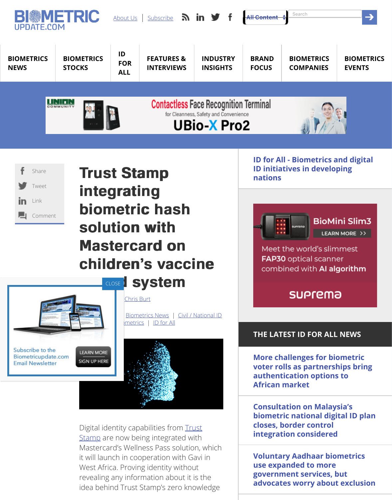| Tweet   |
|---------|
| in Link |
| Comment |

## Trust Stamp Trust Stamp [inte](https://www.biometricupdate.com/)[gratin](https://www.biometricupdate.com/about-us)g biometric hash [solu](https://www.biometricupdate.com/biometrics-stock-market)[tion](https://www.biometricupdate.com/digital-id-biometrics-developing-nations) with **Masterc[ard on](https://www.biometricupdate.com/biometric-news/interviews)** children's vaccine



Digital identity capabilities from Trust **Stamp** are now being integrated with Mastercard's Wellness Pass solution, which it will launch in cooperation with Gavi in [West Africa](https://www.biometricupdate.com/newsletter). P[roving id](https://www.biometricupdate.com/author/chris-burt)entity without revealing any information about it is the id[ea behind T](https://www.biometricupdate.com/biometric-news/healthcare-biometrics)[rust Stamp's z](https://www.biometricupdate.com/biometric-news)[er](https://www.biometricupdate.com/id-for-all)[o knowledge](https://www.biometricupdate.com/biometric-news/civil-id)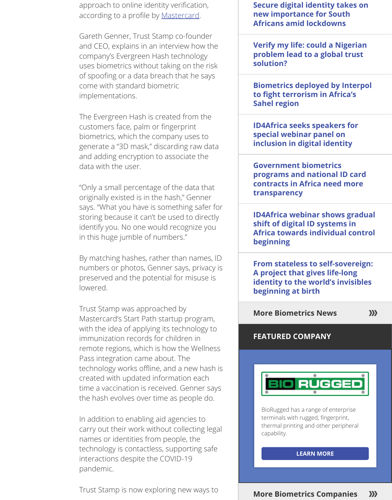"Only a small percentag[e of the data](https://mastercardcontentexchange.com/perspectives/2020/signed-sealed-encrypted-this-digital-id-is-all-yours/) that originally existed is in the hash," Genner says. "What you have is something safer for storing because it can't be used to directly identify you. No one would recognize you in this huge jumble of numbers."

By matching hashes, rather than names, ID numbers or photos, Genner says, privacy is preserved and the potential for misuse is lowered.

Trust Stamp was approached by Mastercard's Start Path startup program, with the idea of applying its technology to immunization records for children in remote regions, which is how the Wellness Pass integration came about. The technology works offline, and a new hash is created with updated information each time a vaccination is received. Genner says the hash evolves over time as people do.

In addition to enabling aid agencies to carry out their work without collecting legal names or identities from people, the technology is contactless, supporting safe interactions despite the COVID-19 pandemic.

Trust Stamp is now exploring new ways to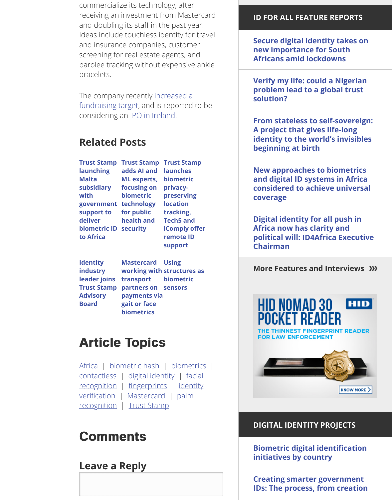**launching Malta subsidiary with government technology support to deliver biometric ID security to Africa**

**address a a a a a a a ML experts, focusing on biometric for public health and**

**launches biometric privacypreserving location tracking, Tech5 and iComply offer remote ID support**

**Identity industry leader joins Trust Stamp Advisory Board**

**Mastercard [working with](https://www.biometricupdate.com/202006/braiyt-ai-seeks-capital-to-commercialize-ai-and-facial-recognition-trust-stamp-and-nextbillion-ai-raise-cash) structures as transport pa[rtners on](https://www.biometricupdate.com/202006/trust-stamp-to-file-for-e29m-ipo-in-ireland-delayed-sensetime-offering-may-face-long-wait) sensors payments via gait or face biometrics Using biometric**

## **[Article](https://www.biometricupdate.com/202006/trust-stamp-launching-malta-subsidiary-with-government-support-to-deliver-biometric-id-to-africa) [Topics](https://www.biometricupdate.com/202003/trust-stamp-adds-ai-and-ml-experts-focusing-on-biometric-technology-for-public-health-and-security)**

Africa | biometric hash [| biometrics](https://www.biometricupdate.com/202004/trust-stamp-launches-biometric-privacy-preserving-location-tracking-tech5-and-icomply-offer-remote-id-support) | contactless | digital identity | facial recognition | fingerprints | identity verification | Mastercard | palm recognition | Trust Stamp

## **[Comme](https://www.biometricupdate.com/201911/identity-industry-leader-joins-trust-stamp-advisory-board)nts**

**Leave a Reply**